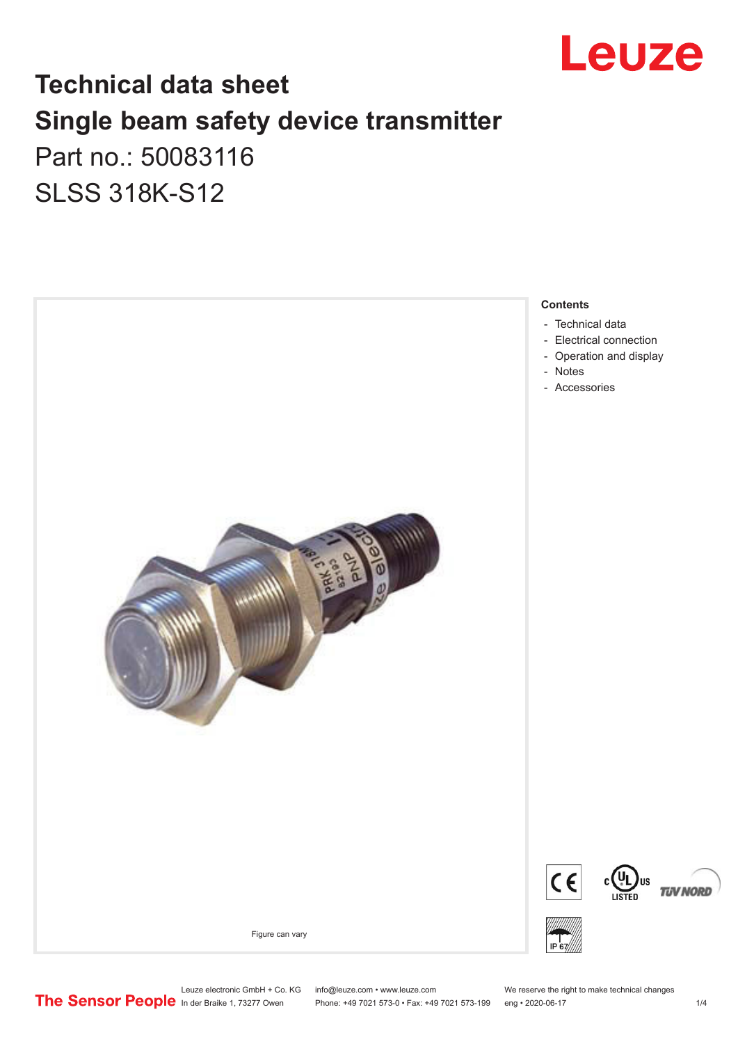

## **Technical data sheet Single beam safety device transmitter** Part no.: 50083116

SLSS 318K-S12



Leuze electronic GmbH + Co. KG info@leuze.com • www.leuze.com We reserve the right to make technical changes<br>
The Sensor People in der Braike 1, 73277 Owen Phone: +49 7021 573-0 • Fax: +49 7021 573-199 eng • 2020-06-17

Phone: +49 7021 573-0 • Fax: +49 7021 573-199 eng • 2020-06-17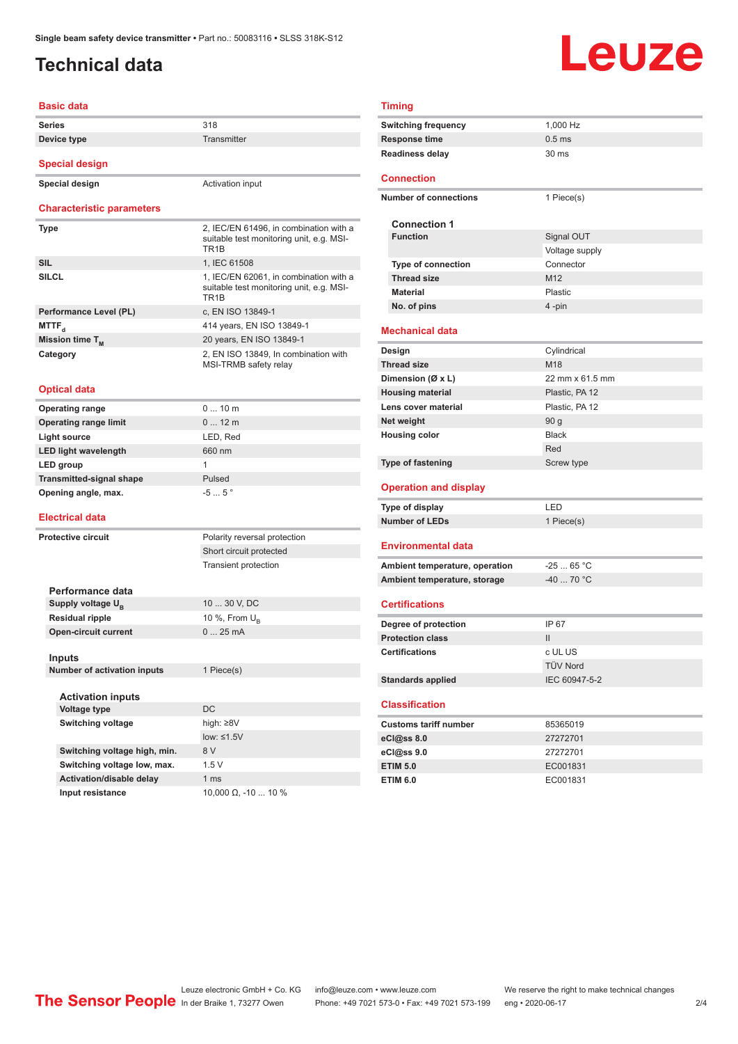## <span id="page-1-0"></span>**Technical data**

# **Leuze**

#### **Basic data**

| <b>Series</b>                    | 318                                                                                                     |
|----------------------------------|---------------------------------------------------------------------------------------------------------|
| Device type                      | Transmitter                                                                                             |
|                                  |                                                                                                         |
| <b>Special design</b>            |                                                                                                         |
| Special design                   | Activation input                                                                                        |
| <b>Characteristic parameters</b> |                                                                                                         |
| Type                             | 2, IEC/EN 61496, in combination with a<br>suitable test monitoring unit, e.g. MSI-<br>TR <sub>1</sub> B |
| <b>SIL</b>                       | 1, IEC 61508                                                                                            |
| SILCL                            | 1, IEC/EN 62061, in combination with a<br>suitable test monitoring unit, e.g. MSI-<br>TR <sub>1</sub> R |
| Performance Level (PL)           | c, EN ISO 13849-1                                                                                       |
| MTTF <sub>d</sub>                | 414 years, EN ISO 13849-1                                                                               |
| Mission time T <sub>M</sub>      | 20 years, EN ISO 13849-1                                                                                |
| Category                         | 2, EN ISO 13849, In combination with<br>MSI-TRMB safety relay                                           |

#### **Optical data**

| <b>Operating range</b>          | $010$ m          |
|---------------------------------|------------------|
| <b>Operating range limit</b>    | $012$ m          |
| Light source                    | LED, Red         |
| <b>LED light wavelength</b>     | 660 nm           |
| LED group                       |                  |
| <b>Transmitted-signal shape</b> | Pulsed           |
| Opening angle, max.             | $-55$ $^{\circ}$ |
|                                 |                  |

#### **Electrical data**

| <b>Protective circuit</b> |                                    | Polarity reversal protection |  |
|---------------------------|------------------------------------|------------------------------|--|
|                           |                                    | Short circuit protected      |  |
|                           |                                    | <b>Transient protection</b>  |  |
|                           | Performance data                   |                              |  |
|                           | Supply voltage U <sub>B</sub>      | 10  30 V, DC                 |  |
|                           | <b>Residual ripple</b>             | 10 %, From $U_p$             |  |
|                           | <b>Open-circuit current</b>        | 025mA                        |  |
|                           |                                    |                              |  |
|                           | Inputs                             |                              |  |
|                           | <b>Number of activation inputs</b> | 1 Piece(s)                   |  |
|                           |                                    |                              |  |
|                           | <b>Activation inputs</b>           |                              |  |
|                           | Voltage type                       | <b>DC</b>                    |  |
|                           | <b>Switching voltage</b>           | high: $\geq 8V$              |  |
|                           |                                    | low: $\leq 1.5V$             |  |
|                           | Switching voltage high, min.       | 8 V                          |  |
|                           | Switching voltage low, max.        | 1.5V                         |  |
|                           | Activation/disable delay           | 1 <sub>ms</sub>              |  |
|                           | Input resistance                   | 10,000 $\Omega$ , -10  10 %  |  |

| Timing                         |                   |  |  |  |  |
|--------------------------------|-------------------|--|--|--|--|
| <b>Switching frequency</b>     | 1,000 Hz          |  |  |  |  |
| <b>Response time</b>           | 0.5 <sub>ms</sub> |  |  |  |  |
| <b>Readiness delay</b>         | 30 ms             |  |  |  |  |
|                                |                   |  |  |  |  |
| <b>Connection</b>              |                   |  |  |  |  |
| <b>Number of connections</b>   | 1 Piece(s)        |  |  |  |  |
|                                |                   |  |  |  |  |
| <b>Connection 1</b>            |                   |  |  |  |  |
| <b>Function</b>                | Signal OUT        |  |  |  |  |
|                                | Voltage supply    |  |  |  |  |
| <b>Type of connection</b>      | Connector         |  |  |  |  |
| <b>Thread size</b>             | M12               |  |  |  |  |
| <b>Material</b>                | Plastic           |  |  |  |  |
| No. of pins                    | 4-pin             |  |  |  |  |
| <b>Mechanical data</b>         |                   |  |  |  |  |
| Design                         | Cylindrical       |  |  |  |  |
| <b>Thread size</b>             | M18               |  |  |  |  |
| Dimension (Ø x L)              | 22 mm x 61.5 mm   |  |  |  |  |
| <b>Housing material</b>        | Plastic, PA 12    |  |  |  |  |
| Lens cover material            | Plastic, PA 12    |  |  |  |  |
| Net weight                     | 90 <sub>g</sub>   |  |  |  |  |
| <b>Housing color</b>           | <b>Black</b>      |  |  |  |  |
|                                | Red               |  |  |  |  |
| <b>Type of fastening</b>       | Screw type        |  |  |  |  |
|                                |                   |  |  |  |  |
| <b>Operation and display</b>   |                   |  |  |  |  |
| Type of display                | LED               |  |  |  |  |
| <b>Number of LEDs</b>          | 1 Piece(s)        |  |  |  |  |
| <b>Environmental data</b>      |                   |  |  |  |  |
|                                |                   |  |  |  |  |
| Ambient temperature, operation | $-2565 °C$        |  |  |  |  |
| Ambient temperature, storage   | $-40$ 70 °C       |  |  |  |  |
| <b>Certifications</b>          |                   |  |  |  |  |
| Degree of protection           | IP 67             |  |  |  |  |
| <b>Protection class</b>        | $\mathbf{II}$     |  |  |  |  |
| <b>Certifications</b>          | c UL US           |  |  |  |  |
|                                | <b>TÜV Nord</b>   |  |  |  |  |
| <b>Standards applied</b>       | IEC 60947-5-2     |  |  |  |  |
|                                |                   |  |  |  |  |
| <b>Classification</b>          |                   |  |  |  |  |
| <b>Customs tariff number</b>   | 85365019          |  |  |  |  |
| eCl@ss 8.0                     | 27272701          |  |  |  |  |
| eCl@ss 9.0                     | 27272701          |  |  |  |  |
| <b>ETIM 5.0</b>                | EC001831          |  |  |  |  |

**ETIM 6.0** EC001831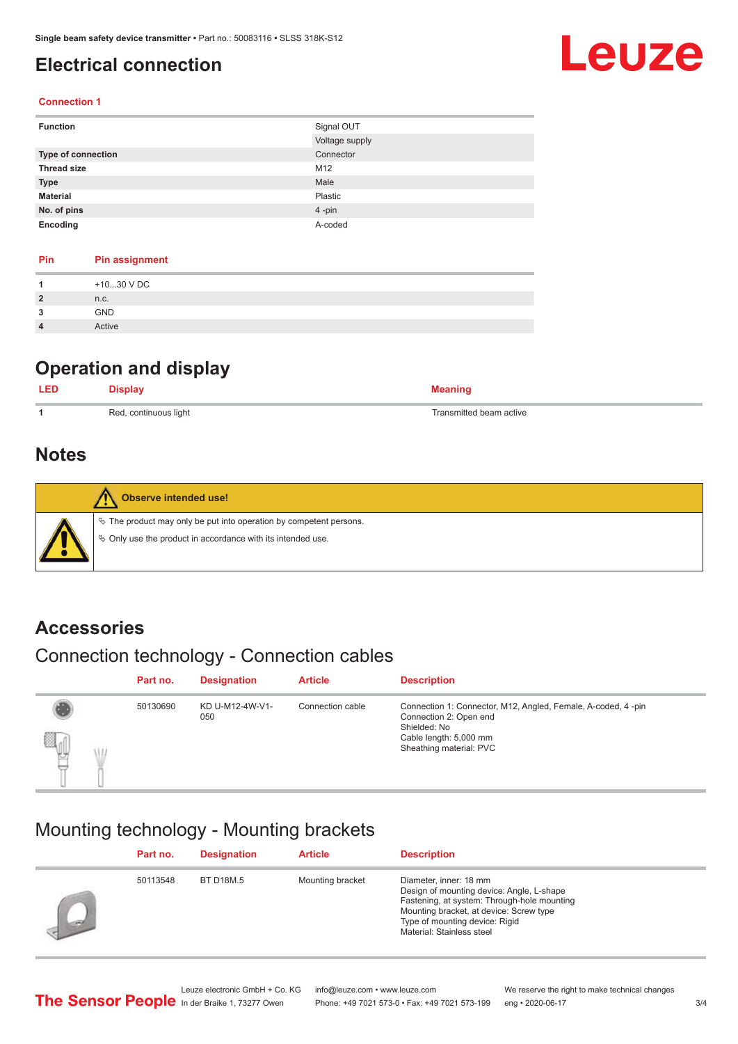## <span id="page-2-0"></span>**Electrical connection**

## **Leuze**

#### **Connection 1**

| <b>Function</b>           | Signal OUT     |
|---------------------------|----------------|
|                           | Voltage supply |
| <b>Type of connection</b> | Connector      |
| <b>Thread size</b>        | M12            |
| <b>Type</b>               | Male           |
| <b>Material</b>           | Plastic        |
| No. of pins               | 4-pin          |
| Encoding                  | A-coded        |

| Pin            | <b>Pin assignment</b> |
|----------------|-----------------------|
| 1              | +1030 V DC            |
| $\overline{2}$ | n.c.                  |
| 3              | <b>GND</b>            |
| $\overline{4}$ | Active                |

## **Operation and display**

| Red, continuous light | Transmitted beam active |
|-----------------------|-------------------------|

### **Notes**

| <b>Observe intended use!</b>                                                                                                         |
|--------------------------------------------------------------------------------------------------------------------------------------|
| $\&$ The product may only be put into operation by competent persons.<br>♦ Only use the product in accordance with its intended use. |

### **Accessories**

## Connection technology - Connection cables

|             | Part no. | <b>Designation</b>     | <b>Article</b>   | <b>Description</b>                                                                                                                                          |
|-------------|----------|------------------------|------------------|-------------------------------------------------------------------------------------------------------------------------------------------------------------|
| q<br>뺑<br>٣ | 50130690 | KD U-M12-4W-V1-<br>050 | Connection cable | Connection 1: Connector, M12, Angled, Female, A-coded, 4-pin<br>Connection 2: Open end<br>Shielded: No<br>Cable length: 5,000 mm<br>Sheathing material: PVC |

## Mounting technology - Mounting brackets

| Part no. | <b>Designation</b> | <b>Article</b>   | <b>Description</b>                                                                                                                                                                                                           |
|----------|--------------------|------------------|------------------------------------------------------------------------------------------------------------------------------------------------------------------------------------------------------------------------------|
| 50113548 | <b>BT D18M.5</b>   | Mounting bracket | Diameter, inner: 18 mm<br>Design of mounting device: Angle, L-shape<br>Fastening, at system: Through-hole mounting<br>Mounting bracket, at device: Screw type<br>Type of mounting device: Rigid<br>Material: Stainless steel |

Leuze electronic GmbH + Co. KG info@leuze.com • www.leuze.com We reserve the right to make technical changes<br>
The Sensor People in der Braike 1, 73277 Owen Phone: +49 7021 573-0 • Fax: +49 7021 573-199 eng • 2020-06-17 Phone: +49 7021 573-0 • Fax: +49 7021 573-199 eng • 2020-06-17 3/4